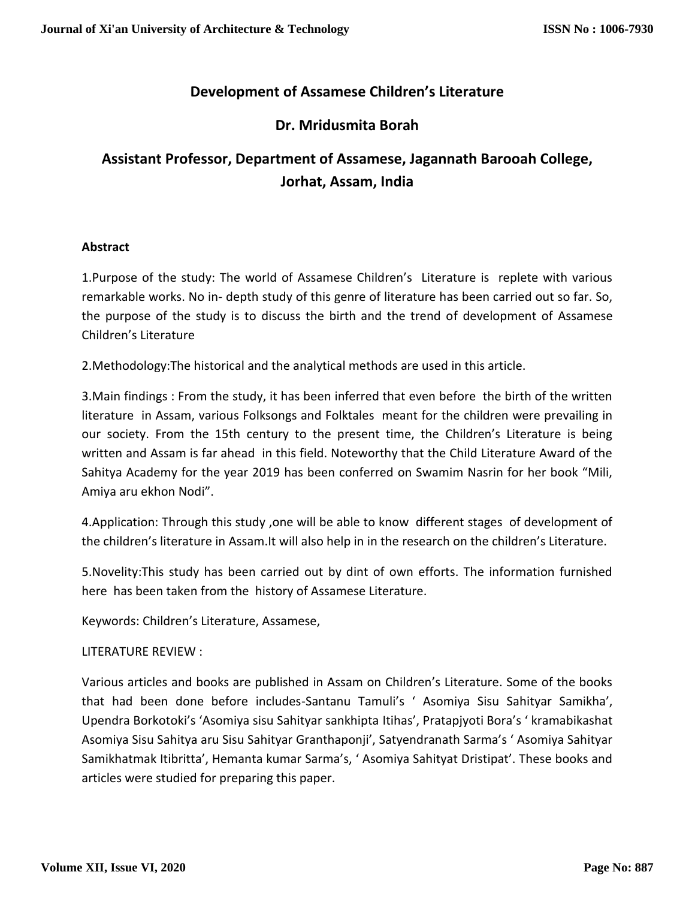# **Development of Assamese Children's Literature**

# **Dr. Mridusmita Borah**

# **Assistant Professor, Department of Assamese, Jagannath Barooah College, Jorhat, Assam, India**

## **Abstract**

1.Purpose of the study: The world of Assamese Children's Literature is replete with various remarkable works. No in- depth study of this genre of literature has been carried out so far. So, the purpose of the study is to discuss the birth and the trend of development of Assamese Children's Literature

2.Methodology:The historical and the analytical methods are used in this article.

3.Main findings : From the study, it has been inferred that even before the birth of the written literature in Assam, various Folksongs and Folktales meant for the children were prevailing in our society. From the 15th century to the present time, the Children's Literature is being written and Assam is far ahead in this field. Noteworthy that the Child Literature Award of the Sahitya Academy for the year 2019 has been conferred on Swamim Nasrin for her book "Mili, Amiya aru ekhon Nodi".

4.Application: Through this study ,one will be able to know different stages of development of the children's literature in Assam.It will also help in in the research on the children's Literature.

5.Novelity:This study has been carried out by dint of own efforts. The information furnished here has been taken from the history of Assamese Literature.

Keywords: Children's Literature, Assamese,

#### LITERATURE REVIEW :

Various articles and books are published in Assam on Children's Literature. Some of the books that had been done before includes-Santanu Tamuli's ' Asomiya Sisu Sahityar Samikha', Upendra Borkotoki's 'Asomiya sisu Sahityar sankhipta Itihas', Pratapjyoti Bora's ' kramabikashat Asomiya Sisu Sahitya aru Sisu Sahityar Granthaponji', Satyendranath Sarma's ' Asomiya Sahityar Samikhatmak Itibritta', Hemanta kumar Sarma's, ' Asomiya Sahityat Dristipat'. These books and articles were studied for preparing this paper.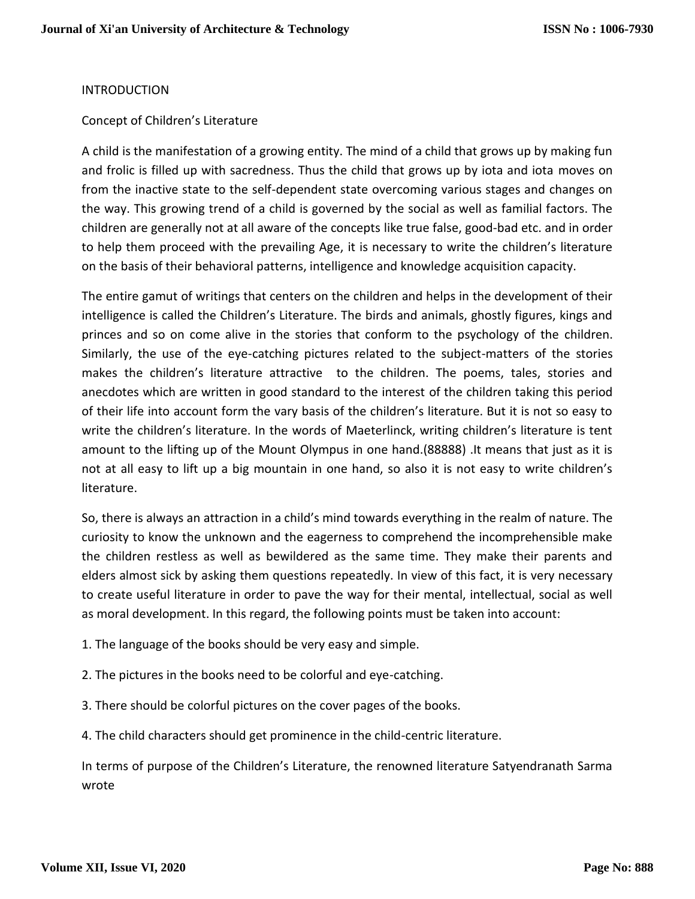## INTRODUCTION

## Concept of Children's Literature

A child is the manifestation of a growing entity. The mind of a child that grows up by making fun and frolic is filled up with sacredness. Thus the child that grows up by iota and iota moves on from the inactive state to the self-dependent state overcoming various stages and changes on the way. This growing trend of a child is governed by the social as well as familial factors. The children are generally not at all aware of the concepts like true false, good-bad etc. and in order to help them proceed with the prevailing Age, it is necessary to write the children's literature on the basis of their behavioral patterns, intelligence and knowledge acquisition capacity.

The entire gamut of writings that centers on the children and helps in the development of their intelligence is called the Children's Literature. The birds and animals, ghostly figures, kings and princes and so on come alive in the stories that conform to the psychology of the children. Similarly, the use of the eye-catching pictures related to the subject-matters of the stories makes the children's literature attractive to the children. The poems, tales, stories and anecdotes which are written in good standard to the interest of the children taking this period of their life into account form the vary basis of the children's literature. But it is not so easy to write the children's literature. In the words of Maeterlinck, writing children's literature is tent amount to the lifting up of the Mount Olympus in one hand.(88888) .It means that just as it is not at all easy to lift up a big mountain in one hand, so also it is not easy to write children's literature.

So, there is always an attraction in a child's mind towards everything in the realm of nature. The curiosity to know the unknown and the eagerness to comprehend the incomprehensible make the children restless as well as bewildered as the same time. They make their parents and elders almost sick by asking them questions repeatedly. In view of this fact, it is very necessary to create useful literature in order to pave the way for their mental, intellectual, social as well as moral development. In this regard, the following points must be taken into account:

- 1. The language of the books should be very easy and simple.
- 2. The pictures in the books need to be colorful and eye-catching.
- 3. There should be colorful pictures on the cover pages of the books.
- 4. The child characters should get prominence in the child-centric literature.

In terms of purpose of the Children's Literature, the renowned literature Satyendranath Sarma wrote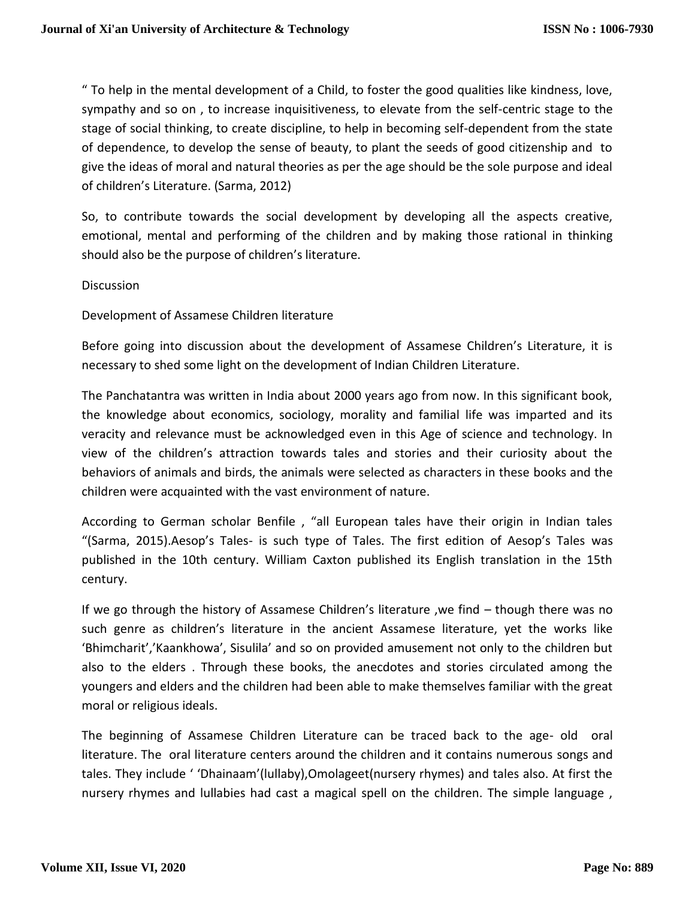" To help in the mental development of a Child, to foster the good qualities like kindness, love, sympathy and so on , to increase inquisitiveness, to elevate from the self-centric stage to the stage of social thinking, to create discipline, to help in becoming self-dependent from the state of dependence, to develop the sense of beauty, to plant the seeds of good citizenship and to give the ideas of moral and natural theories as per the age should be the sole purpose and ideal of children's Literature. (Sarma, 2012)

So, to contribute towards the social development by developing all the aspects creative, emotional, mental and performing of the children and by making those rational in thinking should also be the purpose of children's literature.

**Discussion** 

Development of Assamese Children literature

Before going into discussion about the development of Assamese Children's Literature, it is necessary to shed some light on the development of Indian Children Literature.

The Panchatantra was written in India about 2000 years ago from now. In this significant book, the knowledge about economics, sociology, morality and familial life was imparted and its veracity and relevance must be acknowledged even in this Age of science and technology. In view of the children's attraction towards tales and stories and their curiosity about the behaviors of animals and birds, the animals were selected as characters in these books and the children were acquainted with the vast environment of nature.

According to German scholar Benfile , "all European tales have their origin in Indian tales "(Sarma, 2015).Aesop's Tales- is such type of Tales. The first edition of Aesop's Tales was published in the 10th century. William Caxton published its English translation in the 15th century.

If we go through the history of Assamese Children's literature ,we find – though there was no such genre as children's literature in the ancient Assamese literature, yet the works like 'Bhimcharit','Kaankhowa', Sisulila' and so on provided amusement not only to the children but also to the elders . Through these books, the anecdotes and stories circulated among the youngers and elders and the children had been able to make themselves familiar with the great moral or religious ideals.

The beginning of Assamese Children Literature can be traced back to the age- old oral literature. The oral literature centers around the children and it contains numerous songs and tales. They include ' 'Dhainaam'(lullaby),Omolageet(nursery rhymes) and tales also. At first the nursery rhymes and lullabies had cast a magical spell on the children. The simple language ,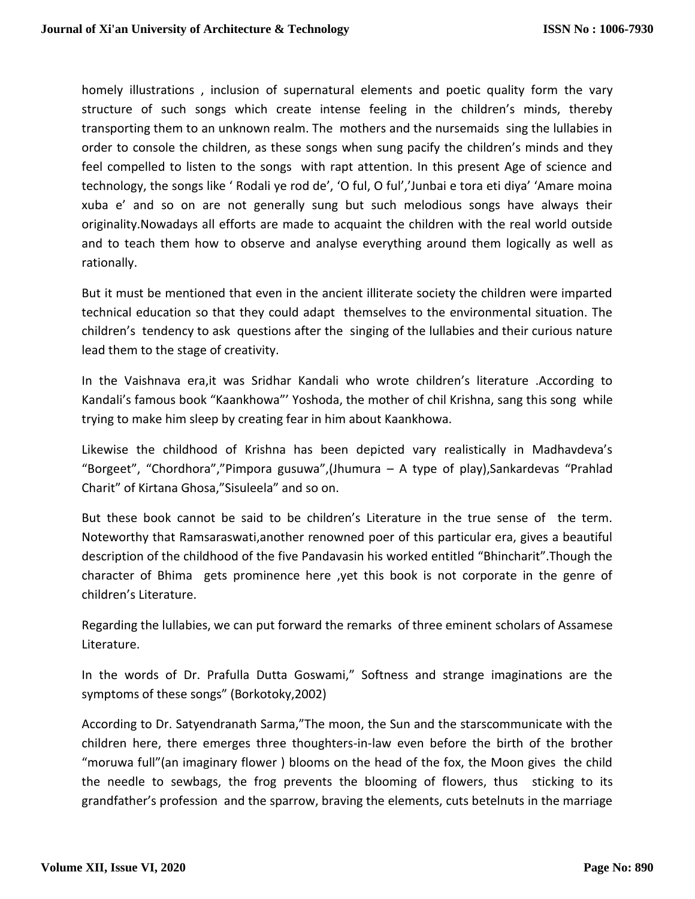homely illustrations , inclusion of supernatural elements and poetic quality form the vary structure of such songs which create intense feeling in the children's minds, thereby transporting them to an unknown realm. The mothers and the nursemaids sing the lullabies in order to console the children, as these songs when sung pacify the children's minds and they feel compelled to listen to the songs with rapt attention. In this present Age of science and technology, the songs like ' Rodali ye rod de', 'O ful, O ful','Junbai e tora eti diya' 'Amare moina xuba e' and so on are not generally sung but such melodious songs have always their originality.Nowadays all efforts are made to acquaint the children with the real world outside and to teach them how to observe and analyse everything around them logically as well as rationally.

But it must be mentioned that even in the ancient illiterate society the children were imparted technical education so that they could adapt themselves to the environmental situation. The children's tendency to ask questions after the singing of the lullabies and their curious nature lead them to the stage of creativity.

In the Vaishnava era,it was Sridhar Kandali who wrote children's literature .According to Kandali's famous book "Kaankhowa"' Yoshoda, the mother of chil Krishna, sang this song while trying to make him sleep by creating fear in him about Kaankhowa.

Likewise the childhood of Krishna has been depicted vary realistically in Madhavdeva's "Borgeet", "Chordhora","Pimpora gusuwa",(Jhumura – A type of play),Sankardevas "Prahlad Charit" of Kirtana Ghosa,"Sisuleela" and so on.

But these book cannot be said to be children's Literature in the true sense of the term. Noteworthy that Ramsaraswati,another renowned poer of this particular era, gives a beautiful description of the childhood of the five Pandavasin his worked entitled "Bhincharit".Though the character of Bhima gets prominence here ,yet this book is not corporate in the genre of children's Literature.

Regarding the lullabies, we can put forward the remarks of three eminent scholars of Assamese Literature.

In the words of Dr. Prafulla Dutta Goswami," Softness and strange imaginations are the symptoms of these songs" (Borkotoky,2002)

According to Dr. Satyendranath Sarma,"The moon, the Sun and the starscommunicate with the children here, there emerges three thoughters-in-law even before the birth of the brother "moruwa full"(an imaginary flower ) blooms on the head of the fox, the Moon gives the child the needle to sewbags, the frog prevents the blooming of flowers, thus sticking to its grandfather's profession and the sparrow, braving the elements, cuts betelnuts in the marriage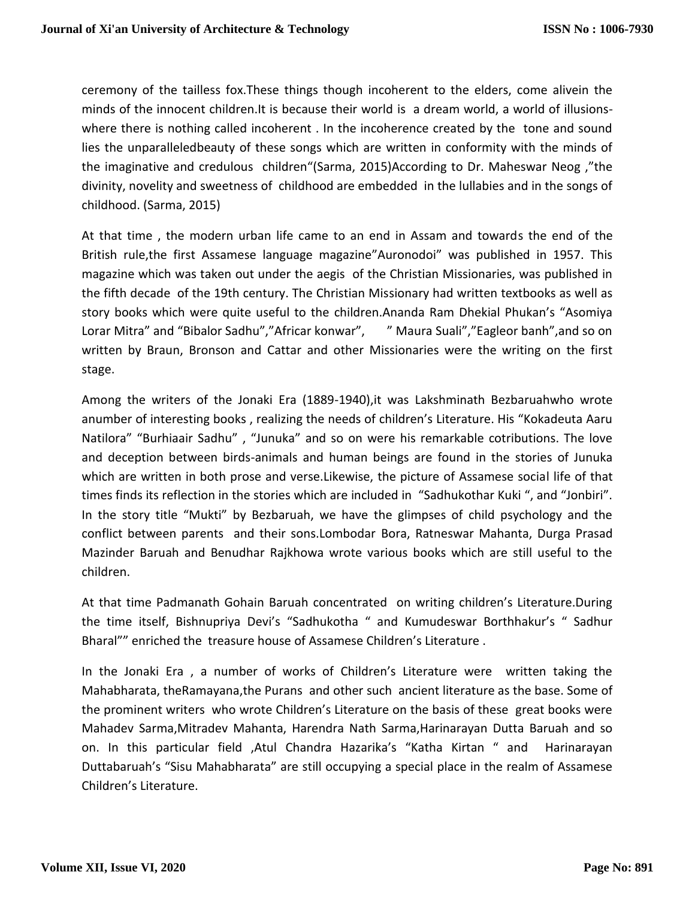ceremony of the tailless fox.These things though incoherent to the elders, come alivein the minds of the innocent children.It is because their world is a dream world, a world of illusionswhere there is nothing called incoherent . In the incoherence created by the tone and sound lies the unparalleledbeauty of these songs which are written in conformity with the minds of the imaginative and credulous children"(Sarma, 2015)According to Dr. Maheswar Neog ,"the divinity, novelity and sweetness of childhood are embedded in the lullabies and in the songs of childhood. (Sarma, 2015)

At that time , the modern urban life came to an end in Assam and towards the end of the British rule,the first Assamese language magazine"Auronodoi" was published in 1957. This magazine which was taken out under the aegis of the Christian Missionaries, was published in the fifth decade of the 19th century. The Christian Missionary had written textbooks as well as story books which were quite useful to the children.Ananda Ram Dhekial Phukan's "Asomiya Lorar Mitra" and "Bibalor Sadhu","Africar konwar", "Maura Suali","Eagleor banh", and so on written by Braun, Bronson and Cattar and other Missionaries were the writing on the first stage.

Among the writers of the Jonaki Era (1889-1940),it was Lakshminath Bezbaruahwho wrote anumber of interesting books , realizing the needs of children's Literature. His "Kokadeuta Aaru Natilora" "Burhiaair Sadhu" , "Junuka" and so on were his remarkable cotributions. The love and deception between birds-animals and human beings are found in the stories of Junuka which are written in both prose and verse.Likewise, the picture of Assamese social life of that times finds its reflection in the stories which are included in "Sadhukothar Kuki ", and "Jonbiri". In the story title "Mukti" by Bezbaruah, we have the glimpses of child psychology and the conflict between parents and their sons.Lombodar Bora, Ratneswar Mahanta, Durga Prasad Mazinder Baruah and Benudhar Rajkhowa wrote various books which are still useful to the children.

At that time Padmanath Gohain Baruah concentrated on writing children's Literature.During the time itself, Bishnupriya Devi's "Sadhukotha " and Kumudeswar Borthhakur's " Sadhur Bharal"" enriched the treasure house of Assamese Children's Literature .

In the Jonaki Era , a number of works of Children's Literature were written taking the Mahabharata, theRamayana,the Purans and other such ancient literature as the base. Some of the prominent writers who wrote Children's Literature on the basis of these great books were Mahadev Sarma,Mitradev Mahanta, Harendra Nath Sarma,Harinarayan Dutta Baruah and so on. In this particular field ,Atul Chandra Hazarika's "Katha Kirtan " and Harinarayan Duttabaruah's "Sisu Mahabharata" are still occupying a special place in the realm of Assamese Children's Literature.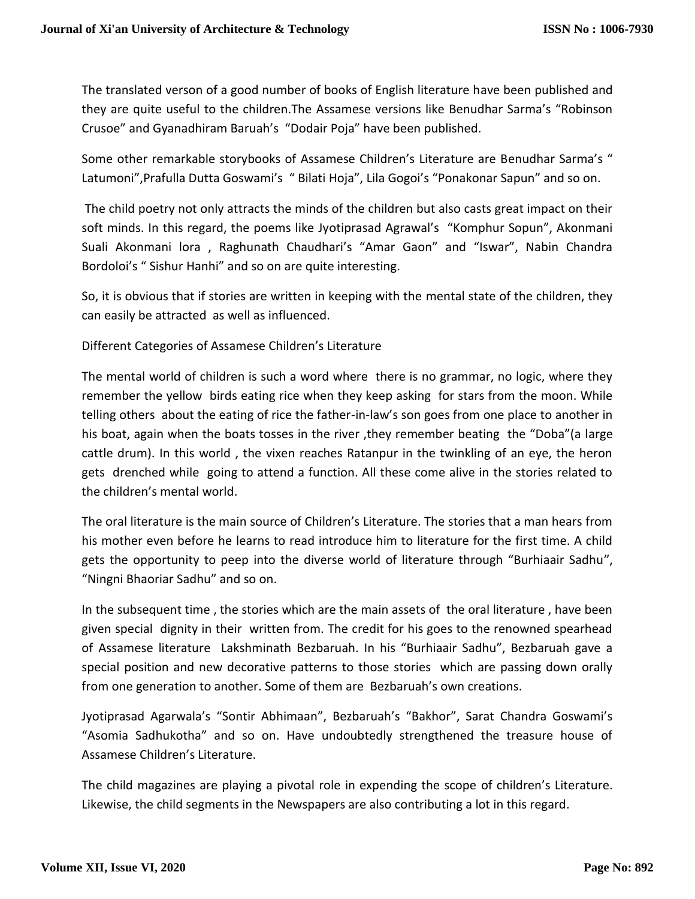The translated verson of a good number of books of English literature have been published and they are quite useful to the children.The Assamese versions like Benudhar Sarma's "Robinson Crusoe" and Gyanadhiram Baruah's "Dodair Poja" have been published.

Some other remarkable storybooks of Assamese Children's Literature are Benudhar Sarma's " Latumoni",Prafulla Dutta Goswami's " Bilati Hoja", Lila Gogoi's "Ponakonar Sapun" and so on.

The child poetry not only attracts the minds of the children but also casts great impact on their soft minds. In this regard, the poems like Jyotiprasad Agrawal's "Komphur Sopun", Akonmani Suali Akonmani lora , Raghunath Chaudhari's "Amar Gaon" and "Iswar", Nabin Chandra Bordoloi's " Sishur Hanhi" and so on are quite interesting.

So, it is obvious that if stories are written in keeping with the mental state of the children, they can easily be attracted as well as influenced.

Different Categories of Assamese Children's Literature

The mental world of children is such a word where there is no grammar, no logic, where they remember the yellow birds eating rice when they keep asking for stars from the moon. While telling others about the eating of rice the father-in-law's son goes from one place to another in his boat, again when the boats tosses in the river ,they remember beating the "Doba"(a large cattle drum). In this world , the vixen reaches Ratanpur in the twinkling of an eye, the heron gets drenched while going to attend a function. All these come alive in the stories related to the children's mental world.

The oral literature is the main source of Children's Literature. The stories that a man hears from his mother even before he learns to read introduce him to literature for the first time. A child gets the opportunity to peep into the diverse world of literature through "Burhiaair Sadhu", "Ningni Bhaoriar Sadhu" and so on.

In the subsequent time , the stories which are the main assets of the oral literature , have been given special dignity in their written from. The credit for his goes to the renowned spearhead of Assamese literature Lakshminath Bezbaruah. In his "Burhiaair Sadhu", Bezbaruah gave a special position and new decorative patterns to those stories which are passing down orally from one generation to another. Some of them are Bezbaruah's own creations.

Jyotiprasad Agarwala's "Sontir Abhimaan", Bezbaruah's "Bakhor", Sarat Chandra Goswami's "Asomia Sadhukotha" and so on. Have undoubtedly strengthened the treasure house of Assamese Children's Literature.

The child magazines are playing a pivotal role in expending the scope of children's Literature. Likewise, the child segments in the Newspapers are also contributing a lot in this regard.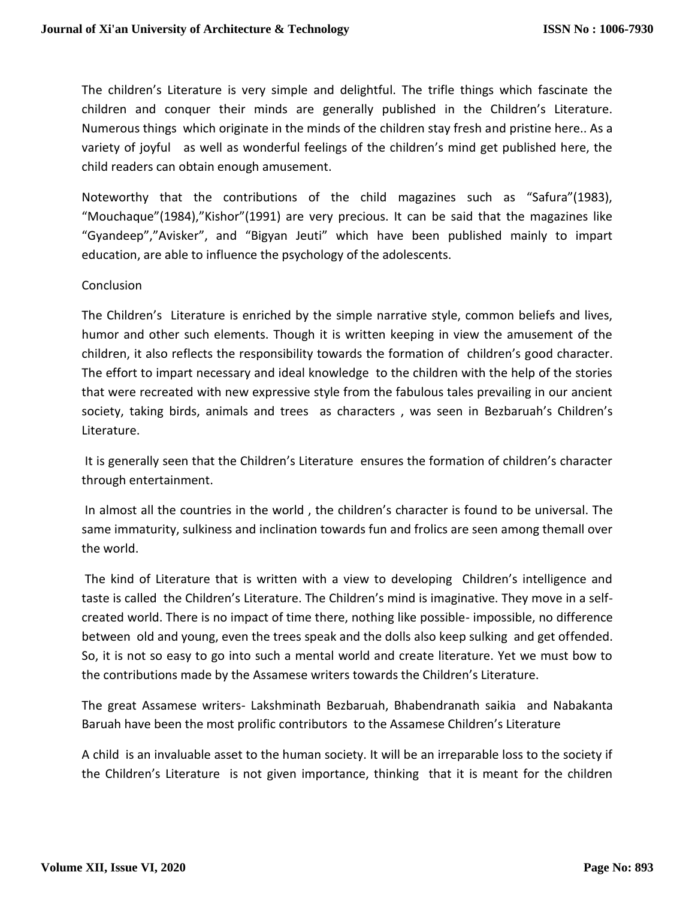The children's Literature is very simple and delightful. The trifle things which fascinate the children and conquer their minds are generally published in the Children's Literature. Numerous things which originate in the minds of the children stay fresh and pristine here.. As a variety of joyful as well as wonderful feelings of the children's mind get published here, the child readers can obtain enough amusement.

Noteworthy that the contributions of the child magazines such as "Safura"(1983), "Mouchaque"(1984),"Kishor"(1991) are very precious. It can be said that the magazines like "Gyandeep","Avisker", and "Bigyan Jeuti" which have been published mainly to impart education, are able to influence the psychology of the adolescents.

## **Conclusion**

The Children's Literature is enriched by the simple narrative style, common beliefs and lives, humor and other such elements. Though it is written keeping in view the amusement of the children, it also reflects the responsibility towards the formation of children's good character. The effort to impart necessary and ideal knowledge to the children with the help of the stories that were recreated with new expressive style from the fabulous tales prevailing in our ancient society, taking birds, animals and trees as characters , was seen in Bezbaruah's Children's Literature.

It is generally seen that the Children's Literature ensures the formation of children's character through entertainment.

In almost all the countries in the world , the children's character is found to be universal. The same immaturity, sulkiness and inclination towards fun and frolics are seen among themall over the world.

The kind of Literature that is written with a view to developing Children's intelligence and taste is called the Children's Literature. The Children's mind is imaginative. They move in a selfcreated world. There is no impact of time there, nothing like possible- impossible, no difference between old and young, even the trees speak and the dolls also keep sulking and get offended. So, it is not so easy to go into such a mental world and create literature. Yet we must bow to the contributions made by the Assamese writers towards the Children's Literature.

The great Assamese writers- Lakshminath Bezbaruah, Bhabendranath saikia and Nabakanta Baruah have been the most prolific contributors to the Assamese Children's Literature

A child is an invaluable asset to the human society. It will be an irreparable loss to the society if the Children's Literature is not given importance, thinking that it is meant for the children